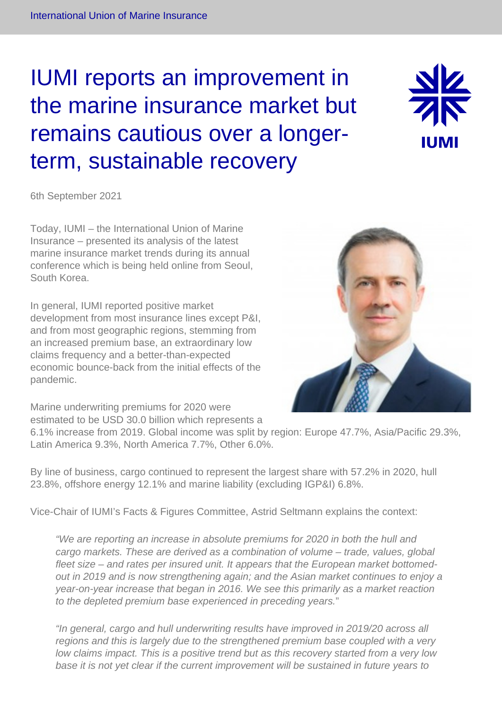# IUMI reports an improvement in the marine insurance market but remains cautious over a longerterm, sustainable recovery



6th September 2021

Today, IUMI – the International Union of Marine Insurance – presented its analysis of the latest marine insurance market trends during its annual conference which is being held online from Seoul, South Korea.

In general, IUMI reported positive market development from most insurance lines except P&I, and from most geographic regions, stemming from an increased premium base, an extraordinary low claims frequency and a better-than-expected economic bounce-back from the initial effects of the pandemic.

Marine underwriting premiums for 2020 were estimated to be USD 30.0 billion which represents a 6.1% increase from 2019. Global income was split by region: Europe 47.7%, Asia/Pacific 29.3%, Latin America 9.3%, North America 7.7%, Other 6.0%.

By line of business, cargo continued to represent the largest share with 57.2% in 2020, hull 23.8%, offshore energy 12.1% and marine liability (excluding IGP&I) 6.8%.

Vice-Chair of IUMI's Facts & Figures Committee, Astrid Seltmann explains the context:

"We are reporting an increase in absolute premiums for 2020 in both the hull and cargo markets. These are derived as a combination of volume – trade, values, global fleet size – and rates per insured unit. It appears that the European market bottomedout in 2019 and is now strengthening again; and the Asian market continues to enjoy a year-on-year increase that began in 2016. We see this primarily as a market reaction to the depleted premium base experienced in preceding years."

"In general, cargo and hull underwriting results have improved in 2019/20 across all regions and this is largely due to the strengthened premium base coupled with a very low claims impact. This is a positive trend but as this recovery started from a very low base it is not yet clear if the current improvement will be sustained in future years to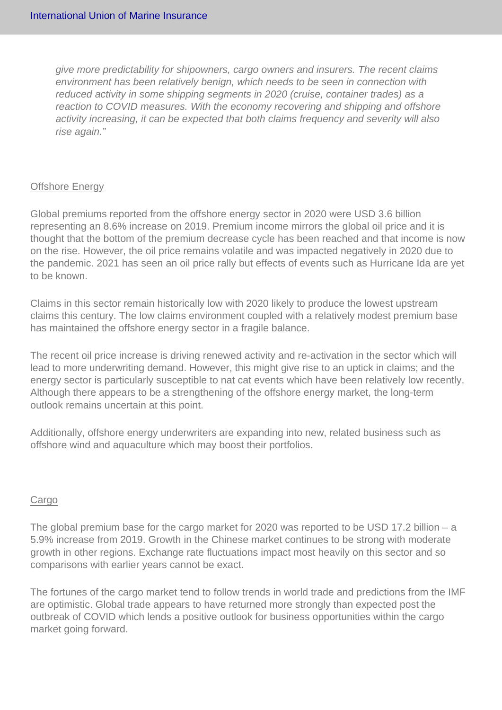give more predictability for shipowners, cargo owners and insurers. The recent claims environment has been relatively benign, which needs to be seen in connection with reduced activity in some shipping segments in 2020 (cruise, container trades) as a reaction to COVID measures. With the economy recovering and shipping and offshore activity increasing, it can be expected that both claims frequency and severity will also rise again."

## Offshore Energy

Global premiums reported from the offshore energy sector in 2020 were USD 3.6 billion representing an 8.6% increase on 2019. Premium income mirrors the global oil price and it is thought that the bottom of the premium decrease cycle has been reached and that income is now on the rise. However, the oil price remains volatile and was impacted negatively in 2020 due to the pandemic. 2021 has seen an oil price rally but effects of events such as Hurricane Ida are yet to be known.

Claims in this sector remain historically low with 2020 likely to produce the lowest upstream claims this century. The low claims environment coupled with a relatively modest premium base has maintained the offshore energy sector in a fragile balance.

The recent oil price increase is driving renewed activity and re-activation in the sector which will lead to more underwriting demand. However, this might give rise to an uptick in claims; and the energy sector is particularly susceptible to nat cat events which have been relatively low recently. Although there appears to be a strengthening of the offshore energy market, the long-term outlook remains uncertain at this point.

Additionally, offshore energy underwriters are expanding into new, related business such as offshore wind and aquaculture which may boost their portfolios.

#### **Cargo**

The global premium base for the cargo market for 2020 was reported to be USD 17.2 billion – a 5.9% increase from 2019. Growth in the Chinese market continues to be strong with moderate growth in other regions. Exchange rate fluctuations impact most heavily on this sector and so comparisons with earlier years cannot be exact.

The fortunes of the cargo market tend to follow trends in world trade and predictions from the IMF are optimistic. Global trade appears to have returned more strongly than expected post the outbreak of COVID which lends a positive outlook for business opportunities within the cargo market going forward.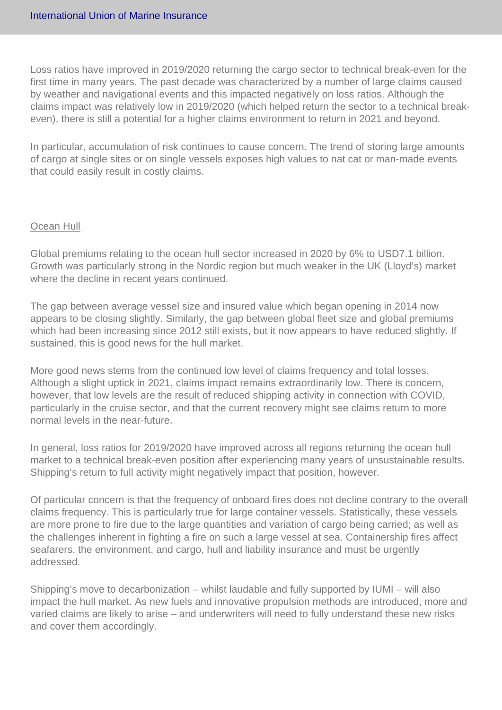Loss ratios have improved in 2019/2020 returning the cargo sector to technical break-even for the first time in many years. The past decade was characterized by a number of large claims caused by weather and navigational events and this impacted negatively on loss ratios. Although the claims impact was relatively low in 2019/2020 (which helped return the sector to a technical breakeven), there is still a potential for a higher claims environment to return in 2021 and beyond.

In particular, accumulation of risk continues to cause concern. The trend of storing large amounts of cargo at single sites or on single vessels exposes high values to nat cat or man-made events that could easily result in costly claims.

#### Ocean Hull

Global premiums relating to the ocean hull sector increased in 2020 by 6% to USD7.1 billion. Growth was particularly strong in the Nordic region but much weaker in the UK (Lloyd's) market where the decline in recent years continued.

The gap between average vessel size and insured value which began opening in 2014 now appears to be closing slightly. Similarly, the gap between global fleet size and global premiums which had been increasing since 2012 still exists, but it now appears to have reduced slightly. If sustained, this is good news for the hull market.

More good news stems from the continued low level of claims frequency and total losses. Although a slight uptick in 2021, claims impact remains extraordinarily low. There is concern, however, that low levels are the result of reduced shipping activity in connection with COVID, particularly in the cruise sector, and that the current recovery might see claims return to more normal levels in the near-future.

In general, loss ratios for 2019/2020 have improved across all regions returning the ocean hull market to a technical break-even position after experiencing many years of unsustainable results. Shipping's return to full activity might negatively impact that position, however.

Of particular concern is that the frequency of onboard fires does not decline contrary to the overall claims frequency. This is particularly true for large container vessels. Statistically, these vessels are more prone to fire due to the large quantities and variation of cargo being carried; as well as the challenges inherent in fighting a fire on such a large vessel at sea. Containership fires affect seafarers, the environment, and cargo, hull and liability insurance and must be urgently addressed.

Shipping's move to decarbonization – whilst laudable and fully supported by IUMI – will also impact the hull market. As new fuels and innovative propulsion methods are introduced, more and varied claims are likely to arise – and underwriters will need to fully understand these new risks and cover them accordingly.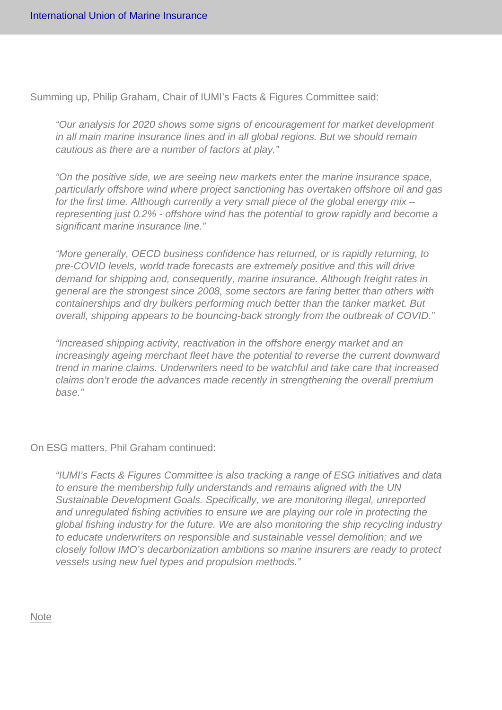Summing up, Philip Graham, Chair of IUMI's Facts & Figures Committee said:

"Our analysis for 2020 shows some signs of encouragement for market development in all main marine insurance lines and in all global regions. But we should remain cautious as there are a number of factors at play."

"On the positive side, we are seeing new markets enter the marine insurance space, particularly offshore wind where project sanctioning has overtaken offshore oil and gas for the first time. Although currently a very small piece of the global energy mix – representing just 0.2% - offshore wind has the potential to grow rapidly and become a significant marine insurance line."

"More generally, OECD business confidence has returned, or is rapidly returning, to pre-COVID levels, world trade forecasts are extremely positive and this will drive demand for shipping and, consequently, marine insurance. Although freight rates in general are the strongest since 2008, some sectors are faring better than others with containerships and dry bulkers performing much better than the tanker market. But overall, shipping appears to be bouncing-back strongly from the outbreak of COVID."

"Increased shipping activity, reactivation in the offshore energy market and an increasingly ageing merchant fleet have the potential to reverse the current downward trend in marine claims. Underwriters need to be watchful and take care that increased claims don't erode the advances made recently in strengthening the overall premium base."

On ESG matters, Phil Graham continued:

"IUMI's Facts & Figures Committee is also tracking a range of ESG initiatives and data to ensure the membership fully understands and remains aligned with the UN Sustainable Development Goals. Specifically, we are monitoring illegal, unreported and unregulated fishing activities to ensure we are playing our role in protecting the global fishing industry for the future. We are also monitoring the ship recycling industry to educate underwriters on responsible and sustainable vessel demolition; and we closely follow IMO's decarbonization ambitions so marine insurers are ready to protect vessels using new fuel types and propulsion methods."

#### **Note**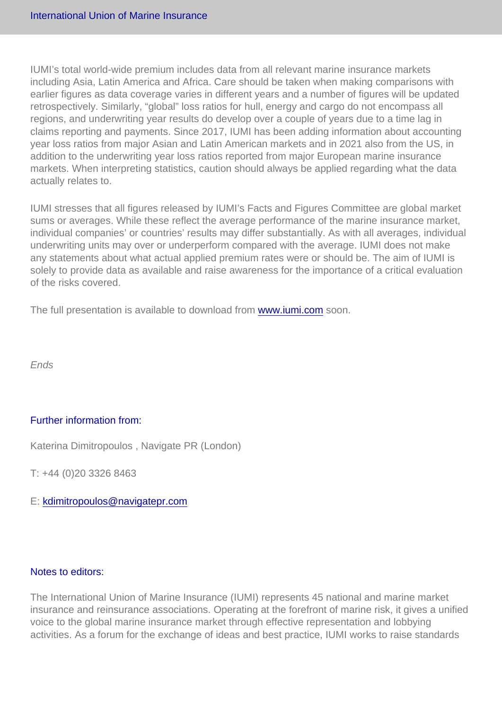IUMI's total world-wide premium includes data from all relevant marine insurance markets including Asia, Latin America and Africa. Care should be taken when making comparisons with earlier figures as data coverage varies in different years and a number of figures will be updated retrospectively. Similarly, "global" loss ratios for hull, energy and cargo do not encompass all regions, and underwriting year results do develop over a couple of years due to a time lag in claims reporting and payments. Since 2017, IUMI has been adding information about accounting year loss ratios from major Asian and Latin American markets and in 2021 also from the US, in addition to the underwriting year loss ratios reported from major European marine insurance markets. When interpreting statistics, caution should always be applied regarding what the data actually relates to.

IUMI stresses that all figures released by IUMI's Facts and Figures Committee are global market sums or averages. While these reflect the average performance of the marine insurance market, individual companies' or countries' results may differ substantially. As with all averages, individual underwriting units may over or underperform compared with the average. IUMI does not make any statements about what actual applied premium rates were or should be. The aim of IUMI is solely to provide data as available and raise awareness for the importance of a critical evaluation of the risks covered.

The full presentation is available to download from [www.iumi.com](http://www.iumi.com) soon.

Ends

### Further information from:

Katerina Dimitropoulos , Navigate PR (London)

T: +44 (0)20 3326 8463

E: [kdimitropoulos@navigatepr.com](mailto:kdimitropoulos@navigatepr.com)

#### Notes to editors:

The International Union of Marine Insurance (IUMI) represents 45 national and marine market insurance and reinsurance associations. Operating at the forefront of marine risk, it gives a unified voice to the global marine insurance market through effective representation and lobbying activities. As a forum for the exchange of ideas and best practice, IUMI works to raise standards